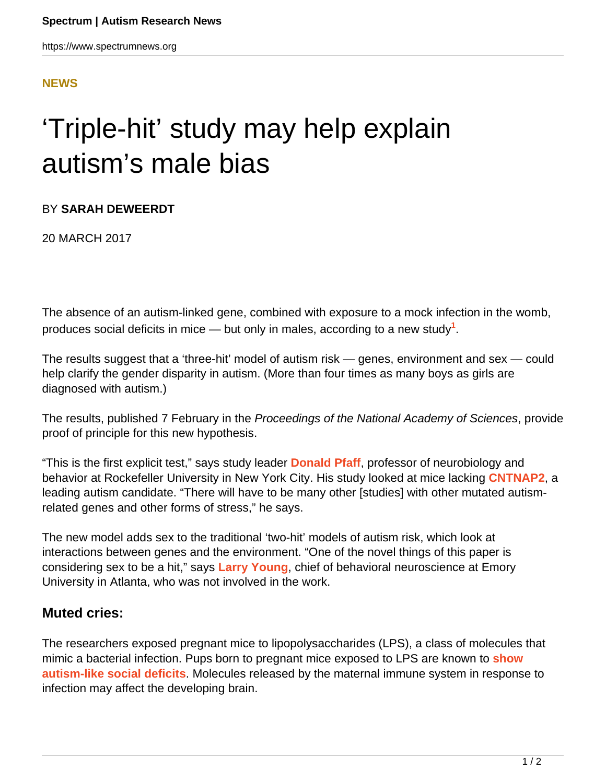### **[NEWS](HTTPS://WWW.SPECTRUMNEWS.ORG/NEWS/)**

# 'Triple-hit' study may help explain autism's male bias

#### BY **SARAH DEWEERDT**

20 MARCH 2017

The absence of an autism-linked gene, combined with exposure to a mock infection in the womb, produces social deficits in mice — but only in males, according to a new study**<sup>1</sup>** .

The results suggest that a 'three-hit' model of autism risk — genes, environment and sex — could help clarify the gender disparity in autism. (More than four times as many boys as girls are diagnosed with autism.)

The results, published 7 February in the Proceedings of the National Academy of Sciences, provide proof of principle for this new hypothesis.

"This is the first explicit test," says study leader **[Donald Pfaff](http://www.rockefeller.edu/research/faculty/labheads/DonaldPfaff/)**, professor of neurobiology and behavior at Rockefeller University in New York City. His study looked at mice lacking **[CNTNAP2](https://www.spectrumnews.org/news/double-dose-mutation-in-language-gene-points-to-new-syndrome/)**, a leading autism candidate. "There will have to be many other [studies] with other mutated autismrelated genes and other forms of stress," he says.

The new model adds sex to the traditional 'two-hit' models of autism risk, which look at interactions between genes and the environment. "One of the novel things of this paper is considering sex to be a hit," says **[Larry Young](http://www.ctsn.emory.edu/faculty/young_larry.html)**, chief of behavioral neuroscience at Emory University in Atlanta, who was not involved in the work.

## **Muted cries:**

The researchers exposed pregnant mice to lipopolysaccharides (LPS), a class of molecules that mimic a bacterial infection. Pups born to pregnant mice exposed to LPS are known to **[show](https://www.spectrumnews.org/opinion/mouse-study-sheds-light-on-maternal-infection-autism-link/) [autism-like social deficits](https://www.spectrumnews.org/opinion/mouse-study-sheds-light-on-maternal-infection-autism-link/)**. Molecules released by the maternal immune system in response to infection may affect the developing brain.